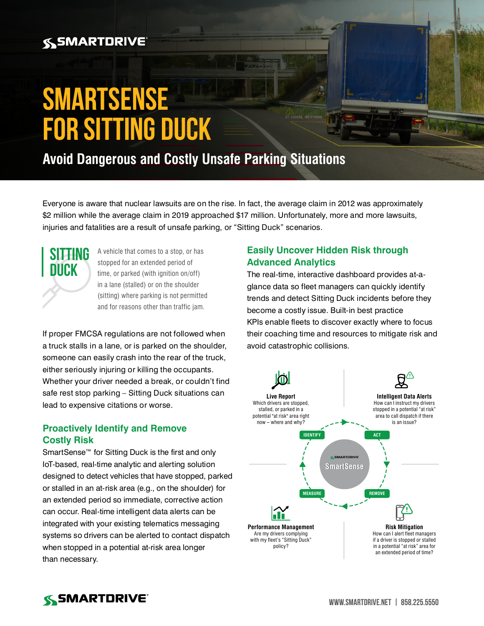## **SSMARTDRIVE**

# **SmartSense for Sitting Duck**

**Avoid Dangerous and Costly Unsafe Parking Situations**

Everyone is aware that nuclear lawsuits are on the rise. In fact, the average claim in 2012 was approximately \$2 million while the average claim in 2019 approached \$17 million. Unfortunately, more and more lawsuits, injuries and fatalities are a result of unsafe parking, or "Sitting Duck" scenarios.



A vehicle that comes to a stop, or has stopped for an extended period of time, or parked (with ignition on/off) in a lane (stalled) or on the shoulder (sitting) where parking is not permitted and for reasons other than traffic jam.

If proper FMCSA regulations are not followed when a truck stalls in a lane, or is parked on the shoulder, someone can easily crash into the rear of the truck, either seriously injuring or killing the occupants. Whether your driver needed a break, or couldn't find safe rest stop parking – Sitting Duck situations can lead to expensive citations or worse.

#### **Proactively Identify and Remove Costly Risk**

SmartSense<sup>™</sup> for Sitting Duck is the first and only IoT-based, real-time analytic and alerting solution designed to detect vehicles that have stopped, parked or stalled in an at-risk area (e.g., on the shoulder) for an extended period so immediate, corrective action can occur. Real-time intelligent data alerts can be integrated with your existing telematics messaging systems so drivers can be alerted to contact dispatch when stopped in a potential at-risk area longer than necessary.

### **Easily Uncover Hidden Risk through Advanced Analytics**

The real-time, interactive dashboard provides at-aglance data so fleet managers can quickly identify trends and detect Sitting Duck incidents before they become a costly issue. Built-in best practice KPIs enable fleets to discover exactly where to focus their coaching time and resources to mitigate risk and avoid catastrophic collisions.